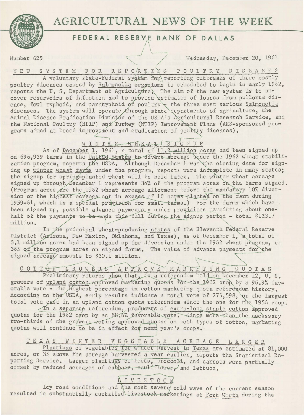

Number 625

# AGRICULTURAL NEWS OF THE WEEK

#### FEDERAL RESERVE BANK OF DALLAS

Wednesday, December 20, 1961

NEW SYSTEM FOR REPO/RTANG POULTRY DISEASES A voluntary state-Federal system for reporting outbreaks of three costly

poultry diseases caused by Salmonella organisms is scheduled to begin in early 1962, reports the U.S. Department of Agriculture. The aim of the new system is to un-<br>cover reservoirs of infection and to provide estimates of losses from pullorum disease, fowl typhoid, and paratyphoid of poultry the three most serious Salmonella diseases. The system will operate through state departments of agriculture, the Animal Disease Eradication Division of the USDA's Agricultural Research Service, and the National Poultry (NPIP) and Turkey (NTIP) Improvement Plans (ARS-sponsored programs aimed at breed improvement and eradication of poultry diseases).

### WINTER WHEAT SIGNUP

As of December 1, 1961, a total of 11.2 million acres had been signed up on 696,939 farms in the United States to divert acreage under the 1962 wheat stabilization program, reports the USDA. Although December 1 was the closing date for signing up winter wheat farms under the program, reports were incomplete in many states; the signup for spring-planted wheat will be held later. The winter wheat acreage signed up through December 1 represents 34% of the program acres on the farms signed. (Program acres are the 1962 wheat acreage allotment before the mandatory 10% diversion or the highest acreage not in excess of 10 acres planted on the farm during 1959-61, which is a special provision for small farms.) For the farms which have been signed up, possible advance payments - under provisions permitting about onehalf of the payments to be made this fall during the signup period - total \$123.7 million.

In the principal wheat-producing states of the Eleventh Federal Reserve District (Arizona, New Mexico, Oklahoma, and Texas), as of December 1, a total of 3.1 million acres had been signed up for diversion under the 1962 wheat program, or 36% of the program acres on signed farms. The value of advance payments for the signed acreage amounts to \$30.1 million.

COTTON GROWERS APPROVE MARKETING QUOTAS

Preliminary returns show that, in a referendum held on December 12, U. S. growers of upland cotton approved marketing quotas for the 1962 crop by a 96.9% favorable vote - the highest percentage in cotton marketing quota referendum history. According to the USDA, early results indicate a total vote of 276,598, or the largest total vote cast in an upland cotton quota referendum since the one for the 1956 crop.

In a separate referendum, producers of extra-long staple cotton approved quotas for the 1962 crop by an 88.6% favorable vote. Since more than the necessary two-thirds of the growers voting approved quotas on both types of cotton, marketing quotas will continue to be in effect for next year's crops.

## TEXAS WINTER VEGETABLE ACREAGE LARGER

Plantings of vegetables for winter harvest in Texas are estimated at 81,000 acres, or 3% above the acreage harvested a year earlier, reports the Statistical Reporting Service. Larger plantings of beets, broccoll, and carrots were partially offset by reduced acreages of cabbage, eaultflower, and lettuce.

# **AIVESTOCK**

Icy road conditions and the most severe cold wave of the current season resulted in substantially curtailed livestock marketings at Fort Worth during the